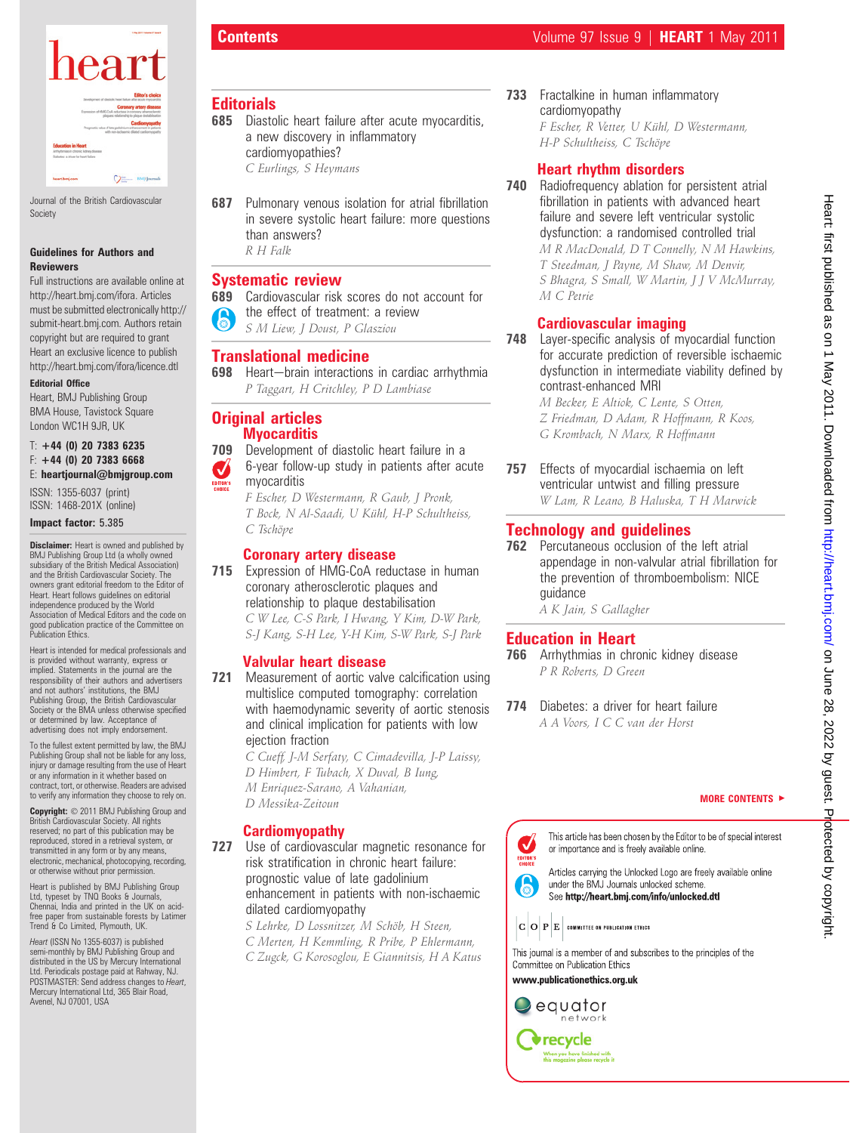

Journal of the British Cardiovascular Society

## Guidelines for Authors and Reviewers

Full instructions are available online at http://heart.bmj.com/ifora. Articles must be submitted electronically http:// submit-heart.bmj.com. Authors retain copyright but are required to grant Heart an exclusive licence to publish http://heart.bmj.com/ifora/licence.dtl

## Editorial Office

Heart, BMJ Publishing Group BMA House, Tavistock Square London WC1H 9JR, UK

#### $T: +44$  (0) 20 7383 6235  $F: +44$  (0) 20 7383 6668 E: heartjournal@bmjgroup.com

ISSN: 1355-6037 (print) ISSN: 1468-201X (online)

### Impact factor: 5.385

**Disclaimer:** Heart is owned and published by BMJ Publishing Group Ltd (a wholly owned subsidiary of the British Medical Association) and the British Cardiovascular Society. The owners grant editorial freedom to the Editor of Heart. Heart follows guidelines on editorial independence produced by the World Association of Medical Editors and the code on good publication practice of the Committee on Publication Ethics.

Heart is intended for medical professionals and is provided without warranty, express or implied. Statements in the journal are the responsibility of their authors and advertisers and not authors' institutions, the BMJ Publishing Group, the British Cardiovascular Society or the BMA unless otherwise specified or determined by law. Acceptance of advertising does not imply endorsement

To the fullest extent permitted by law, the BMJ Publishing Group shall not be liable for any loss, injury or damage resulting from the use of Heart or any information in it whether based on contract, tort, or otherwise. Readers are advised to verify any information they choose to rely on.

Copyright:  $© 2011$  BMJ Publishing Group and British Cardiovascular Society. All rights reserved; no part of this publication may be reproduced, stored in a retrieval system, or transmitted in any form or by any means, electronic, mechanical, photocopying, recording, or otherwise without prior permission.

Heart is published by BMJ Publishing Group Ltd, typeset by TNQ Books & Journals, Chennai, India and printed in the UK on acidfree paper from sustainable forests by Latimer Trend & Co Limited, Plymouth, UK.

Heart (ISSN No 1355-6037) is published semi-monthly by BMJ Publishing Group and distributed in the US by Mercury International Ltd. Periodicals postage paid at Rahway, NJ. POSTMASTER: Send address changes to Heart, Mercury International Ltd, 365 Blair Road, Avenel, NJ 07001, USA

## **Editorials**

**685** Diastolic heart failure after acute myocarditis, a new discovery in inflammatory cardiomyopathies?

C Eurlings, S Heymans

**687** Pulmonary venous isolation for atrial fibrillation in severe systolic heart failure: more questions than answers? R H Falk

## Systematic review

689 Cardiovascular risk scores do not account for the effect of treatment: a review S M Liew, J Doust, P Glasziou

## Translational medicine

698 Heart-brain interactions in cardiac arrhythmia P Taggart, H Critchley, P D Lambiase

## Original articles **Myocarditis**

709 Development of diastolic heart failure in a

6-year follow-up study in patients after acute  $\boldsymbol{J}$ myocarditis

F Escher, D Westermann, R Gaub, J Pronk, T Bock, N Al-Saadi, U Kühl, H-P Schultheiss, C Tschöpe

## Coronary artery disease

715 Expression of HMG-CoA reductase in human coronary atherosclerotic plaques and relationship to plaque destabilisation C W Lee, C-S Park, I Hwang, Y Kim, D-W Park,

S-J Kang, S-H Lee, Y-H Kim, S-W Park, S-J Park

## Valvular heart disease

- **721** Measurement of aortic valve calcification using multislice computed tomography: correlation with haemodynamic severity of aortic stenosis and clinical implication for patients with low ejection fraction
	- C Cueff, J-M Serfaty, C Cimadevilla, J-P Laissy,
	- D Himbert, F Tubach, X Duval, B Iung,
	- M Enriquez-Sarano, A Vahanian, D Messika-Zeitoun

## Cardiomyopathy

727 Use of cardiovascular magnetic resonance for risk stratification in chronic heart failure: prognostic value of late gadolinium enhancement in patients with non-ischaemic dilated cardiomyopathy

> S Lehrke, D Lossnitzer, M Schöb, H Steen, C Merten, H Kemmling, R Pribe, P Ehlermann,

C Zugck, G Korosoglou, E Giannitsis, H A Katus

733 Fractalkine in human inflammatory cardiomyopathy F Escher, R Vetter, U Kühl, D Westermann,

H-P Schultheiss, C Tschöpe

## Heart rhythm disorders

740 Radiofrequency ablation for persistent atrial fibrillation in patients with advanced heart failure and severe left ventricular systolic dysfunction: a randomised controlled trial M R MacDonald, D T Connelly, N M Hawkins, T Steedman, J Payne, M Shaw, M Denvir, S Bhagra, S Small, W Martin, J J V McMurray, M C Petrie

# Cardiovascular imaging

**748** Laver-specific analysis of myocardial function for accurate prediction of reversible ischaemic dysfunction in intermediate viability defined by contrast-enhanced MRI

> M Becker, E Altiok, C Lente, S Otten, Z Friedman, D Adam, R Hoffmann, R Koos, G Krombach, N Marx, R Hoffmann

757 Effects of myocardial ischaemia on left ventricular untwist and filling pressure W Lam, R Leano, B Haluska, T H Marwick

# Technology and guidelines

**762** Percutaneous occlusion of the left atrial appendage in non-valvular atrial fibrillation for the prevention of thromboembolism: NICE guidance

A K Jain, S Gallagher

# Education in Heart

766 Arrhythmias in chronic kidney disease P R Roberts, D Green

774 Diabetes: a driver for heart failure A A Voors, I C C van der Horst

### MORE CONTENTS  $\blacktriangleright$



under the BMJ Journals unlocked scheme. See http://heart.bmj.com/info/unlocked.dtl

 $|\mathbf{C}\,|\mathbf{O}\,|\mathbf{P}\,|\mathbf{E}\,|$  committee on publication ethics

This journal is a member of and subscribes to the principles of the Committee on Publication Ethics

www.publicationethics.org.uk